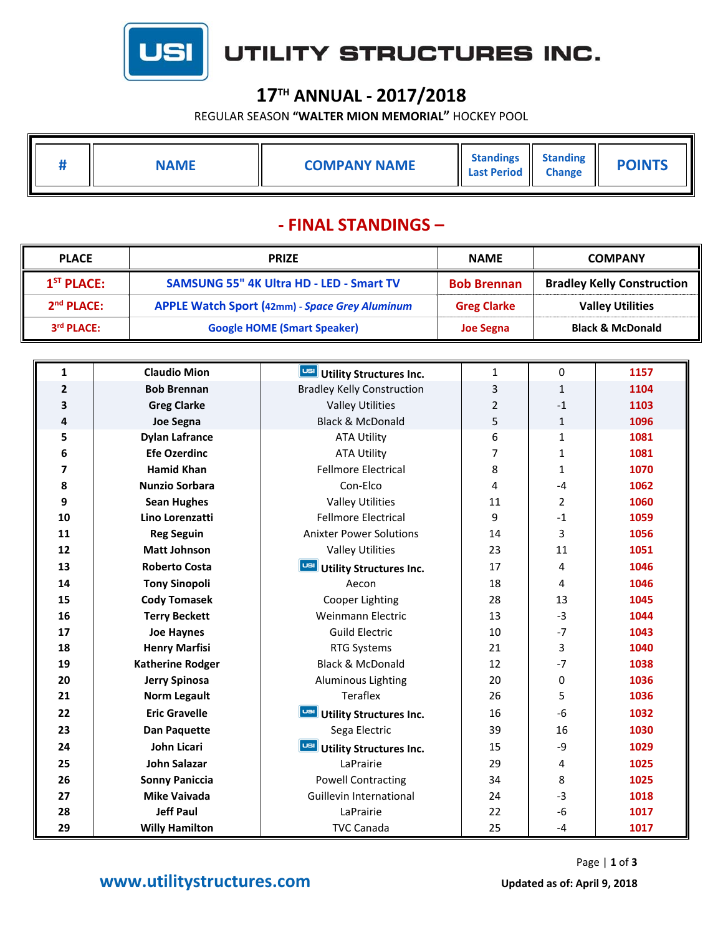

## UTILITY STRUCTURES INC.

### **17TH ANNUAL ‐ 2017/2018**

REGULAR SEASON **"WALTER MION MEMORIAL"** HOCKEY POOL

|  | <b>JAME</b> | <b>COMPANY NAME</b> | <b>Standings</b><br><b>Last Period</b> | <b>Standing</b><br><b>Change</b> | <b>POINTS</b> |
|--|-------------|---------------------|----------------------------------------|----------------------------------|---------------|
|  |             |                     |                                        |                                  |               |

#### **‐ FINAL STANDINGS –**

| <b>PLACE</b>           | <b>PRIZE</b>                                    | <b>NAME</b>        | <b>COMPANY</b>                    |  |
|------------------------|-------------------------------------------------|--------------------|-----------------------------------|--|
| $1ST$ PLACE:           | <b>SAMSUNG 55" 4K Ultra HD - LED - Smart TV</b> | <b>Bob Brennan</b> | <b>Bradley Kelly Construction</b> |  |
| 2 <sup>nd</sup> PLACE: | APPLE Watch Sport (42mm) - Space Grey Aluminum  | <b>Greg Clarke</b> | <b>Valley Utilities</b>           |  |
| 3rd PLACE:             | <b>Google HOME (Smart Speaker)</b>              | <b>Joe Segna</b>   | <b>Black &amp; McDonald</b>       |  |

| 1              | <b>Claudio Mion</b>     | USI<br><b>Utility Structures Inc.</b> | $\mathbf{1}$   | 0            | 1157 |
|----------------|-------------------------|---------------------------------------|----------------|--------------|------|
| $\overline{2}$ | <b>Bob Brennan</b>      | <b>Bradley Kelly Construction</b>     | 3              | $\mathbf{1}$ | 1104 |
| 3              | <b>Greg Clarke</b>      | <b>Valley Utilities</b>               | $\overline{2}$ | $-1$         | 1103 |
| 4              | Joe Segna               | <b>Black &amp; McDonald</b>           | 5              | $\mathbf{1}$ | 1096 |
| 5              | <b>Dylan Lafrance</b>   | <b>ATA Utility</b>                    | 6              | $\mathbf{1}$ | 1081 |
| 6              | <b>Efe Ozerdinc</b>     | <b>ATA Utility</b>                    | 7              | $\mathbf{1}$ | 1081 |
| 7              | <b>Hamid Khan</b>       | <b>Fellmore Electrical</b>            | 8              | 1            | 1070 |
| 8              | <b>Nunzio Sorbara</b>   | Con-Elco                              | 4              | $-4$         | 1062 |
| 9              | <b>Sean Hughes</b>      | <b>Valley Utilities</b>               | 11             | 2            | 1060 |
| 10             | Lino Lorenzatti         | <b>Fellmore Electrical</b>            | 9              | $-1$         | 1059 |
| 11             | <b>Reg Seguin</b>       | <b>Anixter Power Solutions</b>        | 14             | 3            | 1056 |
| 12             | <b>Matt Johnson</b>     | <b>Valley Utilities</b>               | 23             | 11           | 1051 |
| 13             | <b>Roberto Costa</b>    | USI<br><b>Utility Structures Inc.</b> | 17             | 4            | 1046 |
| 14             | <b>Tony Sinopoli</b>    | Aecon                                 | 18             | 4            | 1046 |
| 15             | <b>Cody Tomasek</b>     | Cooper Lighting                       | 28             | 13           | 1045 |
| 16             | <b>Terry Beckett</b>    | Weinmann Electric                     | 13             | $-3$         | 1044 |
| 17             | <b>Joe Haynes</b>       | <b>Guild Electric</b>                 | 10             | $-7$         | 1043 |
| 18             | <b>Henry Marfisi</b>    | <b>RTG Systems</b>                    | 21             | 3            | 1040 |
| 19             | <b>Katherine Rodger</b> | <b>Black &amp; McDonald</b>           | 12             | $-7$         | 1038 |
| 20             | <b>Jerry Spinosa</b>    | <b>Aluminous Lighting</b>             | 20             | 0            | 1036 |
| 21             | <b>Norm Legault</b>     | Teraflex                              | 26             | 5            | 1036 |
| 22             | <b>Eric Gravelle</b>    | <b>Utility Structures Inc.</b>        | 16             | $-6$         | 1032 |
| 23             | <b>Dan Paquette</b>     | Sega Electric                         | 39             | 16           | 1030 |
| 24             | John Licari             | <b>Utility Structures Inc.</b>        | 15             | -9           | 1029 |
| 25             | <b>John Salazar</b>     | LaPrairie                             | 29             | 4            | 1025 |
| 26             | <b>Sonny Paniccia</b>   | <b>Powell Contracting</b>             | 34             | 8            | 1025 |
| 27             | <b>Mike Vaivada</b>     | Guillevin International               | 24             | $-3$         | 1018 |
| 28             | <b>Jeff Paul</b>        | LaPrairie                             | 22             | -6           | 1017 |
| 29             | <b>Willy Hamilton</b>   | <b>TVC Canada</b>                     | 25             | $-4$         | 1017 |

#### **WWW.utilitystructures.com** Updated as of: April 9, 2018

Page | **1** of **3**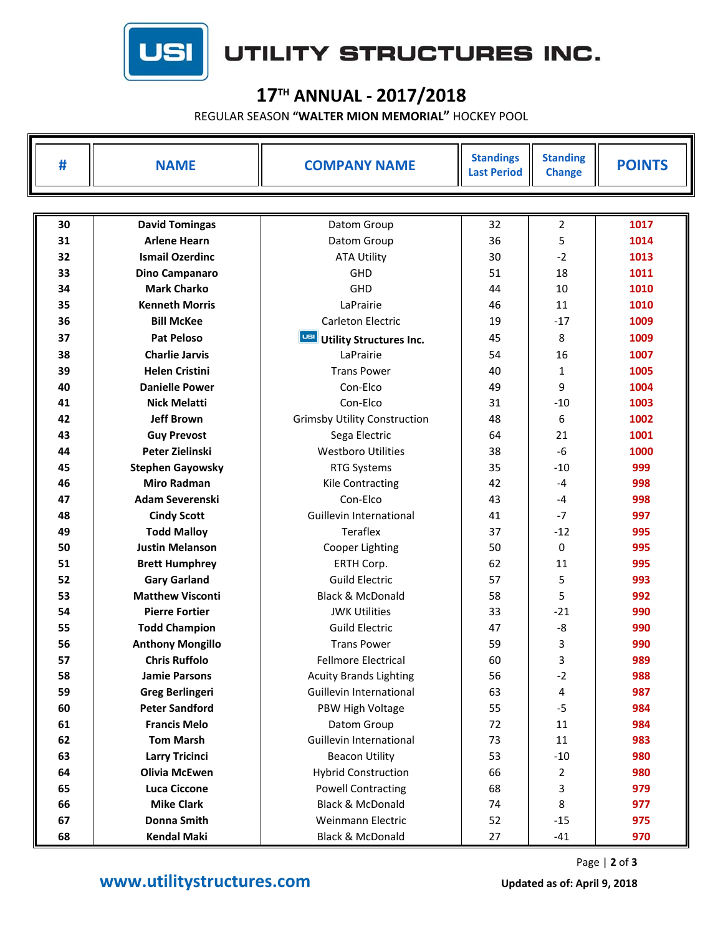

# UTILITY STRUCTURES INC.

### **17TH ANNUAL ‐ 2017/2018**

REGULAR SEASON **"WALTER MION MEMORIAL"** HOCKEY POOL

| #  | <b>NAME</b>             | <b>COMPANY NAME</b>                   | <b>Standings</b><br><b>Last Period</b> | <b>Standing</b><br><b>Change</b> | <b>POINTS</b> |  |  |
|----|-------------------------|---------------------------------------|----------------------------------------|----------------------------------|---------------|--|--|
|    |                         |                                       |                                        |                                  |               |  |  |
| 30 | <b>David Tomingas</b>   | Datom Group                           | 32                                     | $\overline{2}$                   | 1017          |  |  |
| 31 | <b>Arlene Hearn</b>     | Datom Group                           | 36                                     | 5                                | 1014          |  |  |
| 32 | <b>Ismail Ozerdinc</b>  | <b>ATA Utility</b>                    | 30                                     | $-2$                             | 1013          |  |  |
| 33 | Dino Campanaro          | GHD                                   | 51                                     | 18                               | 1011          |  |  |
| 34 | <b>Mark Charko</b>      | GHD                                   | 44                                     | 10                               | 1010          |  |  |
| 35 | <b>Kenneth Morris</b>   | LaPrairie                             | 46                                     | 11                               | 1010          |  |  |
| 36 | <b>Bill McKee</b>       | Carleton Electric                     | 19                                     | $-17$                            | 1009          |  |  |
| 37 | <b>Pat Peloso</b>       | USI<br><b>Utility Structures Inc.</b> | 45                                     | 8                                | 1009          |  |  |
| 38 | <b>Charlie Jarvis</b>   | LaPrairie                             | 54                                     | 16                               | 1007          |  |  |
| 39 | <b>Helen Cristini</b>   | <b>Trans Power</b>                    | 40                                     | 1                                | 1005          |  |  |
| 40 | <b>Danielle Power</b>   | Con-Elco                              | 49                                     | 9                                | 1004          |  |  |
| 41 | <b>Nick Melatti</b>     | Con-Elco                              | 31                                     | $-10$                            | 1003          |  |  |
| 42 | <b>Jeff Brown</b>       | <b>Grimsby Utility Construction</b>   | 48                                     | 6                                | 1002          |  |  |
| 43 | <b>Guy Prevost</b>      | Sega Electric                         | 64                                     | 21                               | 1001          |  |  |
| 44 | Peter Zielinski         | <b>Westboro Utilities</b>             | 38                                     | $-6$                             | 1000          |  |  |
| 45 | <b>Stephen Gayowsky</b> | <b>RTG Systems</b>                    | 35                                     | $-10$                            | 999           |  |  |
| 46 | <b>Miro Radman</b>      | <b>Kile Contracting</b>               | 42                                     | $-4$                             | 998           |  |  |
| 47 | <b>Adam Severenski</b>  | Con-Elco                              | 43                                     | $-4$                             | 998           |  |  |
| 48 | <b>Cindy Scott</b>      | Guillevin International               | 41                                     | $-7$                             | 997           |  |  |
| 49 | <b>Todd Malloy</b>      | Teraflex                              | 37                                     | $-12$                            | 995           |  |  |
| 50 | <b>Justin Melanson</b>  | Cooper Lighting                       | 50                                     | 0                                | 995           |  |  |
| 51 | <b>Brett Humphrey</b>   | ERTH Corp.                            | 62                                     | 11                               | 995           |  |  |
| 52 | <b>Gary Garland</b>     | <b>Guild Electric</b>                 | 57                                     | 5                                | 993           |  |  |
| 53 | <b>Matthew Visconti</b> | <b>Black &amp; McDonald</b>           | 58                                     | 5                                | 992           |  |  |
| 54 | <b>Pierre Fortier</b>   | <b>JWK Utilities</b>                  | 33                                     | $-21$                            | 990           |  |  |
| 55 | <b>Todd Champion</b>    | <b>Guild Electric</b>                 | 47                                     | -8                               | 990           |  |  |
| 56 | <b>Anthony Mongillo</b> | <b>Trans Power</b>                    | 59                                     | 3                                | 990           |  |  |
| 57 | <b>Chris Ruffolo</b>    | <b>Fellmore Electrical</b>            | 60                                     | 3                                | 989           |  |  |
| 58 | <b>Jamie Parsons</b>    | <b>Acuity Brands Lighting</b>         | 56                                     | $-2$                             | 988           |  |  |
| 59 | <b>Greg Berlingeri</b>  | Guillevin International               | 63                                     | 4                                | 987           |  |  |
| 60 | <b>Peter Sandford</b>   | PBW High Voltage                      | 55                                     | $-5$                             | 984           |  |  |
| 61 | <b>Francis Melo</b>     | Datom Group                           | 72                                     | 11                               | 984           |  |  |
| 62 | <b>Tom Marsh</b>        | Guillevin International               | 73                                     | 11                               | 983           |  |  |
| 63 | <b>Larry Tricinci</b>   | <b>Beacon Utility</b>                 | 53                                     | $-10$                            | 980           |  |  |
| 64 | <b>Olivia McEwen</b>    | <b>Hybrid Construction</b>            | 66                                     | 2                                | 980           |  |  |
| 65 | <b>Luca Ciccone</b>     | <b>Powell Contracting</b>             | 68                                     | 3                                | 979           |  |  |
| 66 | <b>Mike Clark</b>       | Black & McDonald                      | 74                                     | 8                                | 977           |  |  |
| 67 | <b>Donna Smith</b>      | Weinmann Electric                     | 52                                     | $-15$                            | 975           |  |  |
| 68 | <b>Kendal Maki</b>      | Black & McDonald                      | 27                                     | $-41$                            | 970           |  |  |

Page | **2** of **3**